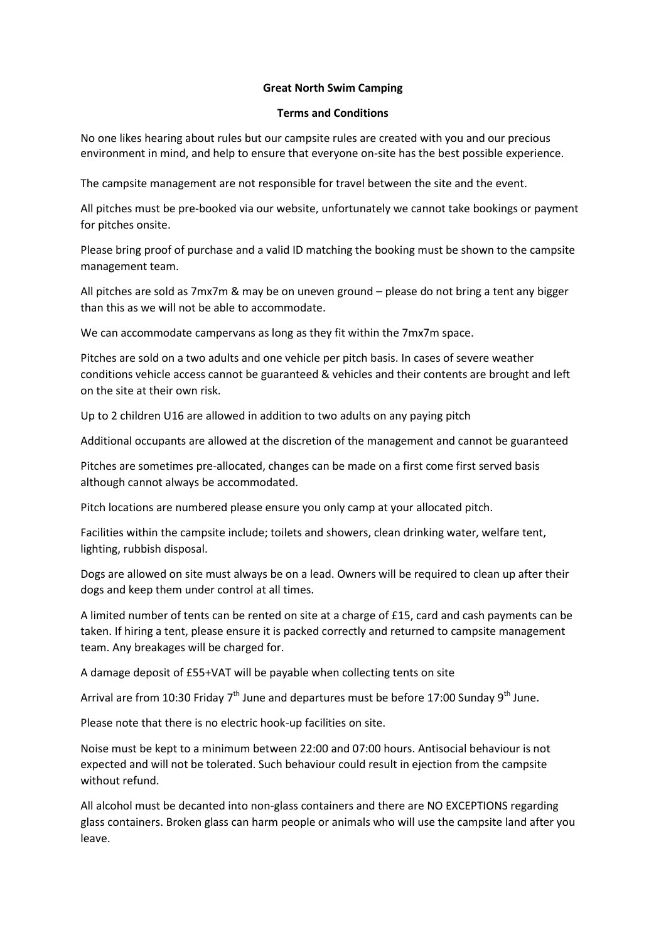## **Great North Swim Camping**

## **Terms and Conditions**

No one likes hearing about rules but our campsite rules are created with you and our precious environment in mind, and help to ensure that everyone on-site has the best possible experience.

The campsite management are not responsible for travel between the site and the event.

All pitches must be pre-booked via our website, unfortunately we cannot take bookings or payment for pitches onsite.

Please bring proof of purchase and a valid ID matching the booking must be shown to the campsite management team.

All pitches are sold as 7mx7m & may be on uneven ground – please do not bring a tent any bigger than this as we will not be able to accommodate.

We can accommodate campervans as long as they fit within the 7mx7m space.

Pitches are sold on a two adults and one vehicle per pitch basis. In cases of severe weather conditions vehicle access cannot be guaranteed & vehicles and their contents are brought and left on the site at their own risk.

Up to 2 children U16 are allowed in addition to two adults on any paying pitch

Additional occupants are allowed at the discretion of the management and cannot be guaranteed

Pitches are sometimes pre-allocated, changes can be made on a first come first served basis although cannot always be accommodated.

Pitch locations are numbered please ensure you only camp at your allocated pitch.

Facilities within the campsite include; toilets and showers, clean drinking water, welfare tent, lighting, rubbish disposal.

Dogs are allowed on site must always be on a lead. Owners will be required to clean up after their dogs and keep them under control at all times.

A limited number of tents can be rented on site at a charge of £15, card and cash payments can be taken. If hiring a tent, please ensure it is packed correctly and returned to campsite management team. Any breakages will be charged for.

A damage deposit of £55+VAT will be payable when collecting tents on site

Arrival are from 10:30 Friday  $7<sup>th</sup>$  June and departures must be before 17:00 Sunday  $9<sup>th</sup>$  June.

Please note that there is no electric hook-up facilities on site.

Noise must be kept to a minimum between 22:00 and 07:00 hours. Antisocial behaviour is not expected and will not be tolerated. Such behaviour could result in ejection from the campsite without refund.

All alcohol must be decanted into non-glass containers and there are NO EXCEPTIONS regarding glass containers. Broken glass can harm people or animals who will use the campsite land after you leave.